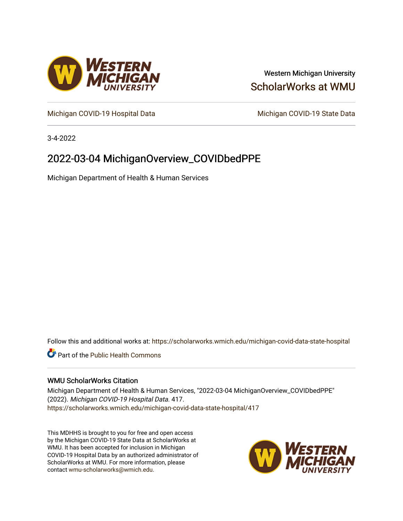

## Western Michigan University [ScholarWorks at WMU](https://scholarworks.wmich.edu/)

[Michigan COVID-19 Hospital Data](https://scholarworks.wmich.edu/michigan-covid-data-state-hospital) Michigan COVID-19 State Data

3-4-2022

# 2022-03-04 MichiganOverview\_COVIDbedPPE

Michigan Department of Health & Human Services

Follow this and additional works at: [https://scholarworks.wmich.edu/michigan-covid-data-state-hospital](https://scholarworks.wmich.edu/michigan-covid-data-state-hospital?utm_source=scholarworks.wmich.edu%2Fmichigan-covid-data-state-hospital%2F417&utm_medium=PDF&utm_campaign=PDFCoverPages) 

**Part of the Public Health Commons** 

#### WMU ScholarWorks Citation

Michigan Department of Health & Human Services, "2022-03-04 MichiganOverview\_COVIDbedPPE" (2022). Michigan COVID-19 Hospital Data. 417. [https://scholarworks.wmich.edu/michigan-covid-data-state-hospital/417](https://scholarworks.wmich.edu/michigan-covid-data-state-hospital/417?utm_source=scholarworks.wmich.edu%2Fmichigan-covid-data-state-hospital%2F417&utm_medium=PDF&utm_campaign=PDFCoverPages) 

This MDHHS is brought to you for free and open access by the Michigan COVID-19 State Data at ScholarWorks at WMU. It has been accepted for inclusion in Michigan COVID-19 Hospital Data by an authorized administrator of ScholarWorks at WMU. For more information, please contact [wmu-scholarworks@wmich.edu](mailto:wmu-scholarworks@wmich.edu).

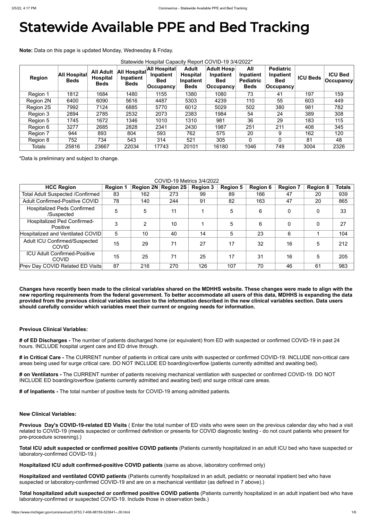# Statewide Available PPE and Bed Tracking

**Note:** Data on this page is updated Monday, Wednesday & Friday.

| Statewide Hospital Capacity Report COVID-19 3/4/2022* |                                    |                                                    |                                                 |                                                        |                                                             |                                                                  |                                                     |                                                            |                 |                                    |
|-------------------------------------------------------|------------------------------------|----------------------------------------------------|-------------------------------------------------|--------------------------------------------------------|-------------------------------------------------------------|------------------------------------------------------------------|-----------------------------------------------------|------------------------------------------------------------|-----------------|------------------------------------|
| <b>Region</b>                                         | <b>All Hospital</b><br><b>Beds</b> | <b>All Adult</b><br><b>Hospital</b><br><b>Beds</b> | <b>All Hospital</b><br>Inpatient<br><b>Beds</b> | All Hospital<br>Inpatient<br><b>Bed</b><br>∣Occupancy∣ | <b>Adult</b><br><b>Hospital</b><br>Inpatient<br><b>Beds</b> | <b>Adult Hosp</b><br>Inpatient<br><b>Bed</b><br><b>Occupancy</b> | All<br>Inpatient<br><b>Pediatric</b><br><b>Beds</b> | <b>Pediatric</b><br>Inpatient<br><b>Bed</b><br>∣Occupancy⊺ | <b>ICU Beds</b> | <b>ICU Bed</b><br><b>Occupancy</b> |
| Region 1                                              | 1812                               | 1684                                               | 1480                                            | 1155                                                   | 1380                                                        | 1080                                                             | 73                                                  | 41                                                         | 197             | 159                                |
| Region 2N                                             | 6400                               | 6090                                               | 5616                                            | 4487                                                   | 5303                                                        | 4239                                                             | 110                                                 | 55                                                         | 603             | 449                                |
| <b>Region 2S</b>                                      | 7992                               | 7124                                               | 6885                                            | 5770                                                   | 6012                                                        | 5029                                                             | 502                                                 | 380                                                        | 981             | 782                                |
| Region 3                                              | 2894                               | 2785                                               | 2532                                            | 2073                                                   | 2383                                                        | 1984                                                             | 54                                                  | 24                                                         | 389             | 308                                |
| Region 5                                              | 1745                               | 1672                                               | 1346                                            | 1010                                                   | 1310                                                        | 981                                                              | 36                                                  | 29                                                         | 183             | 115                                |
| Region 6                                              | 3277                               | 2685                                               | 2828                                            | 2341                                                   | 2430                                                        | 1987                                                             | 251                                                 | 211                                                        | 408             | 345                                |
| Region 7                                              | 944                                | 893                                                | 804                                             | 593                                                    | 762                                                         | 575                                                              | 20                                                  | 9                                                          | 162             | 120                                |
| Region 8                                              | 752                                | 734                                                | 543                                             | 314                                                    | 521                                                         | 305                                                              | $\overline{0}$                                      | 0                                                          | 81              | 48                                 |
| <b>Totals</b>                                         | 25816                              | 23667                                              | 22034                                           | 17743                                                  | 20101                                                       | 16180                                                            | 1046                                                | 749                                                        | 3004            | 2326                               |

\*Data is preliminary and subject to change.

#### COVID-19 Metrics 3/4/2022

| <b>HCC Region</b>                                    | <b>Region 1</b> |     | Region 2N Region 2S | <b>Region 3</b> | <b>Region 5</b> | <b>Region 6</b> | <b>Region 7</b> | <b>Region 8</b> | <b>Totals</b> |
|------------------------------------------------------|-----------------|-----|---------------------|-----------------|-----------------|-----------------|-----------------|-----------------|---------------|
| <b>Total Adult Suspected /Confirmed</b>              | 83              | 162 | 273                 | 99              | 89              | 166             | 47              | 20              | 939           |
| <b>Adult Confirmed-Positive COVID</b>                | 78              | 140 | 244                 | 91              | 82              | 163             | 47              | 20              | 865           |
| <b>Hospitalized Peds Confirmed</b><br>/Suspected     | 5               | 5   | 11                  |                 | 5               | 6               | $\mathbf 0$     | 0               | 33            |
| <b>Hospitalized Ped Confirmed-</b><br>Positive       | 3               | C   | 10                  |                 | 5               | 6               | $\overline{0}$  | 0               | 27            |
| Hospitalized and Ventilated COVID                    | 5               | 10  | 40                  | 14              | 5               | 23              | 6               |                 | 104           |
| <b>Adult ICU Confirmed/Suspected</b><br><b>COVID</b> | 15              | 29  | 71                  | 27              | 17              | 32              | 16              | 5               | 212           |
| <b>ICU Adult Confirmed-Positive</b><br><b>COVID</b>  | 15              | 25  | 71                  | 25              | 17              | 31              | 16              | 5               | 205           |
| <b>Prev Day COVID Related ED Visits</b>              | 87              | 216 | 270                 | 126             | 107             | 70              | 46              | 61              | 983           |

**Changes have recently been made to the clinical variables shared on the MDHHS website. These changes were made to align with the new reporting requirements from the federal government. To better accommodate all users of this data, MDHHS is expanding the data provided from the previous clinical variables section to the information described in the new clinical variables section. Data users should carefully consider which variables meet their current or ongoing needs for information.**

#### **Previous Clinical Variables:**

**# of ED Discharges -** The number of patients discharged home (or equivalent) from ED with suspected or confirmed COVID-19 in past 24 hours. INCLUDE hospital urgent care and ED drive through.

**# in Critical Care -** The CURRENT number of patients in critical care units with suspected or confirmed COVID-19. INCLUDE non-critical care areas being used for surge critical care. DO NOT INCLUDE ED boarding/overflow (patients currently admitted and awaiting bed).

**# on Ventilators -** The CURRENT number of patients receiving mechanical ventilation with suspected or confirmed COVID-19. DO NOT INCLUDE ED boarding/overflow (patients currently admitted and awaiting bed) and surge critical care areas.

**# of Inpatients -** The total number of positive tests for COVID-19 among admitted patients.

#### **New Clinical Variables:**

**Previous Day's COVID-19-related ED Visits** ( Enter the total number of ED visits who were seen on the previous calendar day who had a visit related to COVID-19 (meets suspected or confirmed definition or presents for COVID diagnostic testing - do not count patients who present for pre-procedure screening).)

**Total ICU adult suspected or confirmed positive COVID patients** (Patients currently hospitalized in an adult ICU bed who have suspected or laboratory-confirmed COVID-19.)

**Hospitalized ICU adult confirmed-positive COVID patients** (same as above, laboratory confirmed only)

**Hospitalized and ventilated COVID patients** (Patients currently hospitalized in an adult, pediatric or neonatal inpatient bed who have suspected or laboratory-confirmed COVID-19 and are on a mechanical ventilator (as defined in 7 above).)

**Total hospitalized adult suspected or confirmed positive COVID patients** (Patients currently hospitalized in an adult inpatient bed who have laboratory-confirmed or suspected COVID-19. Include those in observation beds.)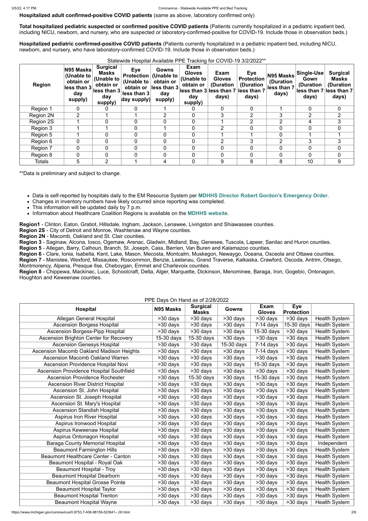**Hospitalized adult confirmed-positive COVID patients** (same as above, laboratory confirmed only)

**Total hospitalized pediatric suspected or confirmed positive COVID patients** (Patients currently hospitalized in a pediatric inpatient bed, including NICU, newborn, and nursery, who are suspected or laboratory-confirmed-positive for COVID-19. Include those in observation beds.)

**Hospitalized pediatric confirmed-positive COVID patients** (Patients currently hospitalized in a pediatric inpatient bed, including NICU, newborn, and nursery, who have laboratory-confirmed COVID-19. Include those in observation beds.)

Statewide Hospital Available PPE Tracking for COVID-19 3/2/2022\*\*

| <b>Region</b> | N95 Masks<br>(Unable to<br>obtain or<br>less than 3<br>day<br>supply) | <b>Surgical</b><br>Masks<br>(Unable to<br>obtain or<br>less than 3<br>day<br>supply) | <b>Eye</b><br><b>Protection</b><br>(Unable to<br>obtain or<br>less than 3<br>day supply) | Gowns<br>(Unable to<br>obtain or<br>$\left \text{less than }3\right $<br>day<br>supply) | Exam<br><b>Gloves</b><br>(Unable to<br>obtain or<br>lless than 3 less than 7 less than 7<br>day<br>supply) | Exam<br><b>Gloves</b><br>(Duration<br>days) | Eye<br><b>Protection</b><br>(Duration<br>days) | N95 Masks<br>(Duration<br>less than 7<br>days) | Single-Use<br>Gown<br>(Duration<br>days) | <b>Surgical</b><br><b>Masks</b><br>(Duration<br>lless than 7 less than 7<br>days) |
|---------------|-----------------------------------------------------------------------|--------------------------------------------------------------------------------------|------------------------------------------------------------------------------------------|-----------------------------------------------------------------------------------------|------------------------------------------------------------------------------------------------------------|---------------------------------------------|------------------------------------------------|------------------------------------------------|------------------------------------------|-----------------------------------------------------------------------------------|
| Region 1      | 0                                                                     |                                                                                      | 0                                                                                        |                                                                                         |                                                                                                            | $\Omega$                                    | $\overline{0}$                                 |                                                | 0                                        | $\mathbf{0}$                                                                      |
| Region 2N     | $\overline{2}$                                                        |                                                                                      |                                                                                          | 2                                                                                       |                                                                                                            | 3                                           | $\overline{2}$                                 | 3                                              | 2                                        | 2                                                                                 |
| Region 2S     |                                                                       | 0                                                                                    | 0                                                                                        | $\mathbf 0$                                                                             |                                                                                                            |                                             | $\overline{2}$                                 | $\overline{2}$                                 | 4                                        | 3                                                                                 |
| Region 3      |                                                                       |                                                                                      | 0                                                                                        |                                                                                         |                                                                                                            | 2                                           |                                                | $\overline{0}$                                 |                                          | $\Omega$                                                                          |
| Region 5      |                                                                       | $\overline{0}$                                                                       | 0                                                                                        | $\mathbf 0$                                                                             |                                                                                                            |                                             |                                                | $\overline{0}$                                 |                                          |                                                                                   |
| Region 6      | 0                                                                     | $\mathbf 0$                                                                          | 0                                                                                        | $\mathbf 0$                                                                             |                                                                                                            | 2                                           | 3                                              | $\overline{2}$                                 | 3                                        | 3                                                                                 |
| Region 7      | 0                                                                     | $\overline{0}$                                                                       | 0                                                                                        | $\mathbf 0$                                                                             |                                                                                                            | 0                                           |                                                | 0                                              |                                          | $\overline{0}$                                                                    |
| Region 8      | 0                                                                     | $\overline{0}$                                                                       | $\overline{0}$                                                                           | $\mathbf 0$                                                                             |                                                                                                            | $\overline{0}$                              |                                                | 0                                              | 0                                        | $\mathbf 0$                                                                       |
| <b>Totals</b> | 5                                                                     | 2                                                                                    |                                                                                          | 4                                                                                       |                                                                                                            | 9                                           | 8                                              | 8                                              | 10                                       | 9                                                                                 |

\*\*Data is preliminary and subject to change.

- Data is self-reported by hospitals daily to the EM Resource System per **[MDHHS Director Robert Gordon's Emergency Order](https://www.michigan.gov/documents/coronavirus/MDHHS_epidemic_reporting_order_and_instructions_684709_7.pdf)**.
- Changes in inventory numbers have likely occurred since reporting was completed.
- This information will be updated daily by 7 p.m.
- Information about Healthcare Coalition Regions is available on the **[MDHHS website](https://www.michigan.gov/mdhhs/0,5885,7-339-71548_54783_54826_56171-237197--,00.html#hcc)**.

**Region1** - Clinton, Eaton, Gratiot, Hillsdale, Ingham, Jackson, Lenawee, Livingston and Shiawassee counties.

**Region 2S** - City of Detroit and Monroe, Washtenaw and Wayne counties.

**Region 2N** - Macomb, Oakland and St. Clair counties.

**Region 3** - Saginaw, Alcona, Iosco, Ogemaw, Arenac, Gladwin, Midland, Bay, Genesee, Tuscola, Lapeer, Sanilac and Huron counties.

**Region 5** - Allegan, Barry, Calhoun, Branch, St. Joseph, Cass, Berrien, Van Buren and Kalamazoo counties.

**Region 6** - Clare, Ionia, Isabella, Kent, Lake, Mason, Mecosta, Montcalm, Muskegon, Newaygo, Oceana, Osceola and Ottawa counties.

**Region 7** - Manistee, Wexford, Missaukee, Roscommon, Benzie, Leelanau, Grand Traverse, Kalkaska, Crawford, Oscoda, Antrim, Otsego, Montmorency, Alpena, Presque Ilse, Cheboygan, Emmet and Charlevoix counties.

**Region 8** - Chippewa, Mackinac, Luce, Schoolcraft, Delta, Alger, Marquette, Dickinson, Menominee, Baraga, Iron, Gogebic, Ontonagon, Houghton and Keweenaw counties.

## PPE Days On Hand as of 2/28/2022

| <b>Hospital</b>                               | FFE Days OII Hariyas OI ZIZOIZUZZ<br>N95 Masks | <b>Surgical</b><br><b>Masks</b> | <b>Gowns</b>             | <b>Exam</b><br><b>Gloves</b> | <b>Eye</b><br><b>Protection</b> |                      |
|-----------------------------------------------|------------------------------------------------|---------------------------------|--------------------------|------------------------------|---------------------------------|----------------------|
| Allegan General Hospital                      | >30 days                                       | >30 days                        | >30 days                 | $>30$ days                   | $>30$ days                      | <b>Health System</b> |
| <b>Ascension Borgess Hospital</b>             | >30 days                                       | >30 days                        | >30 days                 | $7-14$ days                  | 15-30 days                      | <b>Health System</b> |
| <b>Ascension Borgess-Pipp Hospital</b>        | $>30$ days                                     | >30 days                        | >30 days                 | 15-30 days                   | >30 days                        | <b>Health System</b> |
| <b>Ascension Brighton Center for Recovery</b> | 15-30 days                                     | 15-30 days                      | $>30$ days               | >30 days                     | >30 days                        | <b>Health System</b> |
| <b>Ascension Genesys Hospital</b>             | >30 days                                       | $\overline{>30}$ days           | $\overline{15}$ -30 days | $7-14$ days                  | $>30$ days                      | <b>Health System</b> |
| Ascension Macomb Oakland Madison Heights      | $>30$ days                                     | $\overline{>30}$ days           | >30 days                 | $7-14$ days                  | $\overline{>30}$ days           | <b>Health System</b> |
| <b>Ascension Macomb Oakland Warren</b>        | $>30$ days                                     | >30 days                        | >30 days                 | $\overline{>}30$ days        | >30 days                        | <b>Health System</b> |
| Ascension Providence Hospital Novi            | >30 days                                       | >30 days                        | >30 days                 | 15-30 days                   | >30 days                        | <b>Health System</b> |
| Ascension Providence Hospital Southfield      | >30 days                                       | >30 days                        | >30 days                 | >30 days                     | >30 days                        | <b>Health System</b> |
| <b>Ascension Providence Rochester</b>         | >30 days                                       | $15-30$ days                    | >30 days                 | 15-30 days                   | >30 days                        | <b>Health System</b> |
| <b>Ascension River District Hospital</b>      | >30 days                                       | $\overline{>30}$ days           | $\overline{>30}$ days    | $\overline{>30}$ days        | $>30$ days                      | <b>Health System</b> |
| Ascension St. John Hospital                   | $\overline{>30}$ days                          | >30 days                        | >30 days                 | $\overline{>30}$ days        | >30 days                        | <b>Health System</b> |
| Ascension St. Joseph Hospital                 | >30 days                                       | $\overline{>30}$ days           | >30 days                 | >30 days                     | >30 days                        | <b>Health System</b> |
| Ascension St. Mary's Hospital                 | >30 days                                       | >30 days                        | $>30$ days               | >30 days                     | $\overline{>30}$ days           | <b>Health System</b> |
| <b>Ascension Standish Hospital</b>            | >30 days                                       | >30 days                        | >30 days                 | >30 days                     | >30 days                        | <b>Health System</b> |
| <b>Aspirus Iron River Hospital</b>            | $\overline{>30}$ days                          | $\overline{>30}$ days           | $\overline{>30}$ days    | $>30$ days                   | $>30$ days                      | <b>Health System</b> |
| Aspirus Ironwood Hospital                     | >30 days                                       | >30 days                        | $\overline{>30}$ days    | >30 days                     | $\overline{>30}$ days           | <b>Health System</b> |
| Aspirus Keweenaw Hospital                     | >30 days                                       | >30 days                        | >30 days                 | >30 days                     | >30 days                        | <b>Health System</b> |
| Aspirus Ontonagon Hospital                    | >30 days                                       | >30 days                        | >30 days                 | >30 days                     | >30 days                        | <b>Health System</b> |
| <b>Baraga County Memorial Hospital</b>        | >30 days                                       | >30 days                        | >30 days                 | >30 days                     | >30 days                        | Independent          |
| <b>Beaumont Farmington Hills</b>              | >30 days                                       | >30 days                        | >30 days                 | >30 days                     | >30 days                        | <b>Health System</b> |
| <b>Beaumont Healthcare Center - Canton</b>    | >30 days                                       | >30 days                        | >30 days                 | >30 days                     | >30 days                        | <b>Health System</b> |
| Beaumont Hospital - Royal Oak                 | >30 days                                       | >30 days                        | >30 days                 | >30 days                     | $>30$ days                      | <b>Health System</b> |
| <b>Beaumont Hospital - Troy</b>               | >30 days                                       | >30 days                        | >30 days                 | >30 days                     | >30 days                        | <b>Health System</b> |
| <b>Beaumont Hospital Dearborn</b>             | >30 days                                       | >30 days                        | >30 days                 | >30 days                     | >30 days                        | <b>Health System</b> |
| <b>Beaumont Hospital Grosse Pointe</b>        | >30 days                                       | >30 days                        | $>30$ days               | $>30$ days                   | >30 days                        | <b>Health System</b> |
| <b>Beaumont Hospital Taylor</b>               | >30 days                                       | >30 days                        | >30 days                 | >30 days                     | >30 days                        | <b>Health System</b> |
| <b>Beaumont Hospital Trenton</b>              | >30 days                                       | >30 days                        | >30 days                 | >30 days                     | >30 days                        | <b>Health System</b> |
| <b>Beaumont Hospital Wayne</b>                | >30 days                                       | >30 days                        | >30 days                 | >30 days                     | >30 days                        | <b>Health System</b> |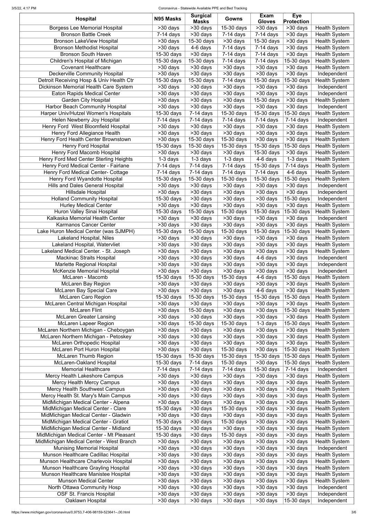#### 3/5/22, 4:17 PM Coronavirus - Statewide Available PPE and Bed Tracking

| <b>Hospital</b>                          | N95 Masks               | <b>Surgical</b><br><b>Masks</b> | <b>Gowns</b>            | <b>Exam</b><br><b>Gloves</b>       | <b>Eye</b><br><b>Protection</b>                |                                              |
|------------------------------------------|-------------------------|---------------------------------|-------------------------|------------------------------------|------------------------------------------------|----------------------------------------------|
| <b>Borgess Lee Memorial Hospital</b>     | >30 days                | $\overline{>30}$ days           | 15-30 days              | $\overline{>30}$ days              | $\overline{>30}$ days                          | <b>Health System</b>                         |
| <b>Bronson Battle Creek</b>              | $7-14$ days             | >30 days                        | $7-14$ days             | $7-14$ days                        | $\overline{>30}$ days                          | <b>Health System</b>                         |
| <b>Bronson LakeView Hospital</b>         | >30 days                | 15-30 days                      | >30 days                | 15-30 days                         | >30 days                                       | <b>Health System</b>                         |
| <b>Bronson Methodist Hospital</b>        | $>30$ days              | $\overline{4}$ -6 days          | $7-14$ days             | $7-14$ days                        | >30 days                                       | <b>Health System</b>                         |
| <b>Bronson South Haven</b>               | 15-30 days              | >30 days                        | $7-14$ days             | $7-14$ days                        | >30 days                                       | <b>Health System</b>                         |
| Children's Hospital of Michigan          | 15-30 days              | 15-30 days                      | $7-14$ days             | $7-14$ days                        | 15-30 days                                     | <b>Health System</b>                         |
| <b>Covenant Healthcare</b>               | >30 days                | >30 days                        | >30 days                | $\overline{>}30$ days              | >30 days                                       | <b>Health System</b>                         |
| Deckerville Community Hospital           | $>30$ days              | $>30$ days                      | >30 days                | >30 days                           | >30 days                                       | Independent                                  |
| Detroit Receiving Hosp & Univ Health Ctr | $15-30$ days            | 15-30 days                      | $7-14$ days             | 15-30 days                         | 15-30 days                                     | <b>Health System</b>                         |
| Dickinson Memorial Health Care System    | >30 days                | >30 days                        | >30 days                | >30 days                           | >30 days                                       | Independent                                  |
| <b>Eaton Rapids Medical Center</b>       | >30 days                | $>30$ days                      | >30 days                | $\overline{\phantom{1}}$ > 30 days | >30 days                                       | Independent                                  |
| <b>Garden City Hospital</b>              | $>30$ days              | >30 days                        | >30 days                | 15-30 days                         | >30 days                                       | <b>Health System</b>                         |
| <b>Harbor Beach Community Hospital</b>   | >30 days                | >30 days                        | >30 days                | $\overline{\phantom{1}}$ > 30 days | >30 days                                       | Independent                                  |
| Harper Univ/Hutzel Women's Hospitals     | 15-30 days              | $7-14$ days                     | 15-30 days              | 15-30 days                         | 15-30 days                                     | <b>Health System</b>                         |
| <b>Helen Newberry Joy Hospital</b>       | $7-14$ days             | $\overline{7}$ -14 days         | $7-14$ days             | 7-14 days                          | $7-14$ days                                    | Independent                                  |
| Henry Ford West Bloomfield Hospital      | >30 days                | >30 days                        | >30 days                | >30 days                           | >30 days                                       | <b>Health System</b>                         |
| Henry Ford Allegiance Health             | >30 days                | >30 days                        | >30 days                | >30 days                           | >30 days                                       | <b>Health System</b>                         |
| Henry Ford Health Center Brownstown      | >30 days                | 15-30 days                      | $15-30$ days            | >30 days                           | >30 days                                       | <b>Health System</b>                         |
| <b>Henry Ford Hospital</b>               | 15-30 days              | 15-30 days                      | 15-30 days              | $15-30$ days                       | 15-30 days                                     | <b>Health System</b>                         |
| Henry Ford Macomb Hospital               | >30 days                | $>30$ days                      | >30 days                | 15-30 days                         | >30 days                                       | <b>Health System</b>                         |
| Henry Ford Med Center Sterling Heights   | $1-3$ days              | $1-3$ days                      | $1-3$ days              | 4-6 days                           | $1-3$ days                                     | <b>Health System</b>                         |
| Henry Ford Medical Center - Fairlane     | $7-14$ days             | $\overline{7}$ -14 days         | $7-14$ days             | 15-30 days                         | $\overline{7}$ -14 days                        | <b>Health System</b>                         |
| Henry Ford Medical Center- Cottage       | $7-14$ days             | $7-14$ days                     | $7-14$ days             | $7-14$ days                        | $\overline{4-6}$ days                          | <b>Health System</b>                         |
| Henry Ford Wyandotte Hospital            | $15-30$ days            | 15-30 days                      | 15-30 days              | 15-30 days                         | 15-30 days                                     | <b>Health System</b>                         |
| <b>Hills and Dales General Hospital</b>  | $\overline{>}30$ days   | >30 days                        | >30 days                | $\overline{>}30$ days              | >30 days                                       | Independent                                  |
| <b>Hillsdale Hospital</b>                |                         | $>30$ days                      |                         |                                    |                                                |                                              |
|                                          | >30 days                |                                 | >30 days                | >30 days                           | >30 days                                       | Independent                                  |
| <b>Holland Community Hospital</b>        | 15-30 days              | >30 days                        | >30 days                | $\overline{>30}$ days              | 15-30 days                                     | Independent                                  |
| <b>Hurley Medical Center</b>             | >30 days                | $>30$ days                      | $>30$ days              | $\overline{>}30$ days              | >30 days                                       | <b>Health System</b>                         |
| Huron Valley Sinai Hospital              | 15-30 days              | $\overline{15}$ -30 days        | 15-30 days              | $15-30$ days                       | 15-30 days                                     | <b>Health System</b>                         |
| Kalkaska Memorial Health Center          | $>30$ days              | >30 days                        | >30 days                | >30 days                           | >30 days                                       | Independent                                  |
| Karmanos Cancer Center                   | $\overline{>30}$ days   | $\overline{>30}$ days           | $>30$ days              | >30 days                           | $\overline{>30}$ days                          | <b>Health System</b>                         |
| Lake Huron Medical Center (was SJMPH)    | $15-30$ days            | 15-30 days                      | $15-30$ days            | 15-30 days                         | 15-30 days                                     | <b>Health System</b>                         |
| <b>Lakeland Hospital, Niles</b>          | $>30$ days              | >30 days                        | $>30$ days              | >30 days                           | >30 days                                       | <b>Health System</b>                         |
| Lakeland Hospital, Watervliet            | $>30$ days              | >30 days                        | >30 days                | >30 days                           | >30 days                                       | <b>Health System</b>                         |
| Lakeland Medical Center. - St. Joseph    | >30 days                | >30 days                        | >30 days                | >30 days                           | >30 days                                       | <b>Health System</b>                         |
| <b>Mackinac Straits Hospital</b>         | >30 days                | >30 days                        | >30 days                | 4-6 days                           | >30 days                                       | Independent                                  |
| Marlette Regional Hospital               | >30 days                | >30 days                        | >30 days                | >30 days                           | >30 days                                       | Independent                                  |
| <b>McKenzie Memorial Hospital</b>        | >30 days                | >30 days                        | >30 days                | >30 days                           | >30 days                                       | Independent                                  |
| McLaren - Macomb                         | 15-30 days              | 15-30 days                      | 15-30 days              | 4-6 days                           | 15-30 days                                     | <b>Health System</b>                         |
| McLaren Bay Region                       | >30 days                | >30 days                        | >30 days                | >30 days                           | >30 days                                       | <b>Health System</b>                         |
| <b>McLaren Bay Special Care</b>          | >30 days                | >30 days                        | >30 days                | 4-6 days                           | >30 days                                       | <b>Health System</b>                         |
| <b>McLaren Caro Region</b>               | 15-30 days              | 15-30 days                      | 15-30 days              | 15-30 days                         | 15-30 days                                     | <b>Health System</b>                         |
| McLaren Central Michigan Hospital        | >30 days                | >30 days                        | >30 days                | >30 days                           | >30 days                                       | <b>Health System</b>                         |
| <b>McLaren Flint</b>                     | >30 days                | 15-30 days                      | >30 days                | >30 days                           | 15-30 days                                     | <b>Health System</b>                         |
| <b>McLaren Greater Lansing</b>           | >30 days                | >30 days                        | >30 days                | >30 days                           | >30 days                                       | <b>Health System</b>                         |
| <b>McLaren Lapeer Region</b>             | >30 days                | 15-30 days                      | 15-30 days              | $1-3$ days                         | 15-30 days                                     | <b>Health System</b>                         |
| McLaren Northern Michigan - Cheboygan    | >30 days                | >30 days                        | >30 days                | >30 days                           | >30 days                                       | <b>Health System</b>                         |
| McLaren Northern Michigan - Petoskey     | >30 days                | >30 days                        | >30 days                | >30 days                           | >30 days                                       | <b>Health System</b>                         |
| McLaren Orthopedic Hospital              | >30 days                | >30 days                        | >30 days                | >30 days                           | $\overline{>30}$ days                          | <b>Health System</b>                         |
| <b>McLaren Port Huron Hospital</b>       | $\overline{>30}$ days   | >30 days                        | 15-30 days              | >30 days                           | 15-30 days                                     | <b>Health System</b>                         |
| <b>McLaren Thumb Region</b>              | 15-30 days              | 15-30 days                      | 15-30 days              | 15-30 days                         | 15-30 days                                     | <b>Health System</b>                         |
| <b>McLaren-Oakland Hospital</b>          | 15-30 days              | $7-14$ days                     | 15-30 days              | >30 days                           | 15-30 days                                     | <b>Health System</b>                         |
| <b>Memorial Healthcare</b>               | $\overline{7}$ -14 days | $7-14$ days                     | $\overline{7}$ -14 days | 15-30 days                         | $7-14$ days                                    | Independent                                  |
| Mercy Health Lakeshore Campus            | >30 days                | $>30$ days                      | >30 days                | >30 days                           | >30 days                                       | Health System                                |
| <b>Mercy Health Mercy Campus</b>         | >30 days                | >30 days                        | >30 days                | >30 days                           | >30 days                                       | <b>Health System</b>                         |
| Mercy Health Southwest Campus            | >30 days                | >30 days                        | >30 days                | >30 days                           | >30 days                                       | <b>Health System</b>                         |
| Mercy Health St. Mary's Main Campus      | >30 days                | >30 days                        | $>30$ days              | >30 days                           | $\overline{>30}$ days                          | <b>Health System</b>                         |
| MidMichigan Medical Center - Alpena      | >30 days                | >30 days                        | $>30$ days              | $\overline{>}30$ days              | $>30$ days                                     | <b>Health System</b>                         |
| MidMichigan Medical Center - Clare       | 15-30 days              | >30 days                        | 15-30 days              | >30 days                           | >30 days                                       | <b>Health System</b>                         |
| MidMichigan Medical Center - Gladwin     | $>30$ days              | $>30$ days                      | >30 days                | $\overline{>}30$ days              | >30 days                                       | <b>Health System</b>                         |
|                                          |                         |                                 |                         |                                    |                                                |                                              |
| MidMichigan Medical Center - Gratiot     | 15-30 days              | >30 days                        | 15-30 days              | >30 days                           | $\overline{\phantom{1}}$ > 30 days<br>>30 days | <b>Health System</b><br><b>Health System</b> |
| MidMichigan Medical Center - Midland     | 15-30 days              | >30 days                        | >30 days                | >30 days                           |                                                |                                              |
| MidMichigan Medical Center - Mt Pleasant | 15-30 days              | >30 days                        | 15-30 days              | >30 days                           | >30 days                                       | <b>Health System</b>                         |
| MidMichigan Medical Center - West Branch | >30 days                | >30 days                        | >30 days                | >30 days                           | >30 days                                       | <b>Health System</b>                         |
| <b>Munising Memorial Hospital</b>        | >30 days                | >30 days                        | >30 days                | >30 days                           | >30 days                                       | Independent                                  |
| Munson Healthcare Cadillac Hospital      | >30 days                | >30 days                        | >30 days                | >30 days                           | >30 days                                       | <b>Health System</b>                         |
| Munson Healthcare Charlevoix Hospital    | >30 days                | >30 days                        | >30 days                | >30 days                           | >30 days                                       | <b>Health System</b>                         |
| Munson Healthcare Grayling Hospital      | >30 days                | >30 days                        | >30 days                | >30 days                           | >30 days                                       | <b>Health System</b>                         |
| Munson Healthcare Manistee Hospital      | >30 days                | >30 days                        | >30 days                | >30 days                           | >30 days                                       | <b>Health System</b>                         |
| <b>Munson Medical Center</b>             | >30 days                | >30 days                        | >30 days                | >30 days                           | >30 days                                       | <b>Health System</b>                         |
| North Ottawa Community Hosp              | >30 days                | >30 days                        | >30 days                | >30 days                           | >30 days                                       | Independent                                  |
| <b>OSF St. Francis Hospital</b>          | >30 days                | >30 days                        | >30 days                | >30 days                           | >30 days                                       | Independent                                  |
| Oaklawn Hospital                         | >30 days                | >30 days                        | >30 days                | >30 days                           | 15-30 days                                     | Independent                                  |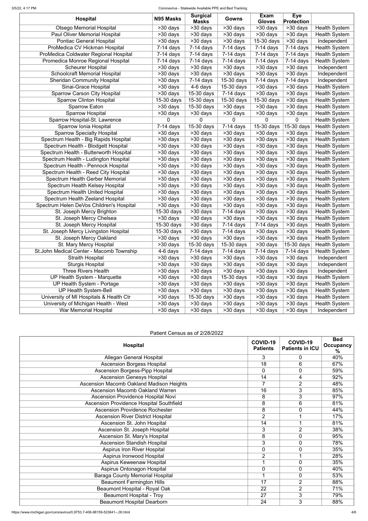#### 3/5/22, 4:17 PM Coronavirus - Statewide Available PPE and Bed Tracking

| <b>Masks</b><br><b>Gloves</b><br><b>Protection</b><br><b>Otsego Memorial Hospital</b><br>$\overline{>30}$ days<br>$\overline{>30}$ days<br>$\overline{>}30$ days<br>>30 days<br>>30 days<br><b>Health System</b><br>Paul Oliver Memorial Hospital<br>$\overline{>}30$ days<br>>30 days<br>>30 days<br>>30 days<br>>30 days<br><b>Health System</b><br><b>Pontiac General Hospital</b><br>>30 days<br>$>30$ days<br>$>30$ days<br>$15-30$ days<br>>30 days<br>Independent<br>ProMedica CV Hickman Hospital<br>$7-14$ days<br>$7-14$ days<br>$7-14$ days<br>$7-14$ days<br>$7-14$ days<br><b>Health System</b><br>ProMedica Coldwater Regional Hospital<br><b>Health System</b><br>$7-14$ days<br>$7-14$ days<br>$7-14$ days<br>$7-14$ days<br>$7-14$ days<br>Promedica Monroe Regional Hospital<br>$7-14$ days<br>$7-14$ days<br>$7-14$ days<br>$7-14$ days<br>$7-14$ days<br><b>Health System</b><br><b>Scheurer Hospital</b><br>$>30$ days<br>$>30$ days<br>>30 days<br>>30 days<br>>30 days<br>Independent<br><b>Schoolcraft Memorial Hospital</b><br>>30 days<br>>30 days<br>>30 days<br>>30 days<br>>30 days<br>Independent<br>15-30 days<br><b>Sheridan Community Hospital</b><br>>30 days<br>$7-14$ days<br>$7-14$ days<br>$7-14$ days<br>Independent<br>Sinai-Grace Hospital<br>>30 days<br>4-6 days<br>15-30 days<br>>30 days<br>>30 days<br><b>Health System</b><br><b>Sparrow Carson City Hospital</b><br>>30 days<br>15-30 days<br>$>30$ days<br>$>30$ days<br><b>Health System</b><br>$7-14$ days<br>Sparrow Clinton Hospital<br>15-30 days<br>15-30 days<br>15-30 days<br>15-30 days<br>>30 days<br><b>Health System</b><br>$>30$ days<br>15-30 days<br>$>30$ days<br><b>Health System</b><br><b>Sparrow Eaton</b><br>>30 days<br>>30 days<br>Sparrow Hospital<br>>30 days<br>$>30$ days<br>>30 days<br>>30 days<br>>30 days<br><b>Health System</b><br>Sparrow Hospital-St. Lawrence<br><b>Health System</b><br>0<br>0<br>0<br>0<br>0<br>15-30 days<br>Sparrow Ionia Hospital<br>$7-14$ days<br>15-30 days<br>$7-14$ days<br>15-30 days<br><b>Health System</b><br><b>Sparrow Specialty Hospital</b><br>$>30$ days<br>>30 days<br><b>Health System</b><br>>30 days<br>>30 days<br>>30 days<br>Spectrum Health - Big Rapids Hospital<br>>30 days<br>>30 days<br>$>30$ days<br>$>30$ days<br>>30 days<br><b>Health System</b><br>Spectrum Health - Blodgett Hospital<br>$>30$ days<br><b>Health System</b><br>>30 days<br>>30 days<br>>30 days<br>>30 days<br>Spectrum Health - Butterworth Hospital<br>>30 days<br>>30 days<br>$>30$ days<br>$>30$ days<br><b>Health System</b><br>>30 days<br>Spectrum Health - Ludington Hospital<br>$\overline{>30}$ days<br><b>Health System</b><br>>30 days<br>$>30$ days<br>>30 days<br>>30 days<br>Spectrum Health - Pennock Hospital<br>>30 days<br>>30 days<br>$>30$ days<br>$\overline{>30}$ days<br>>30 days<br><b>Health System</b><br>Spectrum Health - Reed City Hospital<br><b>Health System</b><br>>30 days<br>>30 days<br>>30 days<br>>30 days<br>>30 days<br>Spectrum Health Gerber Memorial<br>$\overline{>}30$ days<br>>30 days<br>$>30$ days<br>$>30$ days<br><b>Health System</b><br>>30 days<br>Spectrum Health Kelsey Hospital<br>$\overline{>30}$ days<br><b>Health System</b><br>>30 days<br>$>30$ days<br>>30 days<br>$>30$ days<br><b>Spectrum Health United Hospital</b><br>>30 days<br>>30 days<br>$>30$ days<br>$\overline{>30}$ days<br>$>30$ days<br><b>Health System</b><br>Spectrum Health Zeeland Hospital<br>$\overline{>30}$ days<br>$\overline{>30}$ days<br>$\overline{>30}$ days<br><b>Health System</b><br>>30 days<br>>30 days<br>Spectrum Helen DeVos Children's Hospital<br>$\overline{>}30$ days<br>$\overline{>30}$ days<br>$\overline{>30}$ days<br>$>30$ days<br>$\overline{>30}$ days<br><b>Health System</b><br>15-30 days<br><b>Health System</b><br>St. Joseph Mercy Brighton<br>>30 days<br>$7-14$ days<br>>30 days<br>>30 days<br>St. Joseph Mercy Chelsea<br>$\overline{>}30$ days<br>>30 days<br>$\overline{>}30$ days<br>>30 days<br><b>Health System</b><br>>30 days<br>St. Joseph Mercy Hospital<br>15-30 days<br>>30 days<br>$7-14$ days<br>$7-14$ days<br>>30 days<br><b>Health System</b><br>St. Joseph Mercy Livingston Hospital<br>>30 days<br>>30 days<br><b>Health System</b><br>15-30 days<br>$7-14$ days<br>>30 days<br>St. Joseph Mercy Oakland<br>>30 days<br>>30 days<br>$>30$ days<br>>30 days<br><b>Health System</b><br>>30 days<br>St. Mary Mercy Hospital<br><b>Health System</b><br>15-30 days<br>15-30 days<br>>30 days<br>15-30 days<br>>30 days<br>St.John Medical Center - Macomb Township<br>4-6 days<br>$7-14$ days<br>$7-14$ days<br>$7-14$ days<br>$7-14$ days<br><b>Health System</b><br>>30 days<br><b>Straith Hospital</b><br>>30 days<br>>30 days<br>>30 days<br>>30 days<br>Independent<br><b>Sturgis Hospital</b><br>$>30$ days<br>$>30$ days<br>$>30$ days<br>>30 days<br>>30 days<br>Independent<br>Three Rivers Health<br>>30 days<br>>30 days<br>>30 days<br>>30 days<br>Independent<br>>30 days<br><b>UP Health System - Marquette</b><br>>30 days<br>>30 days<br>15-30 days<br>>30 days<br>>30 days<br><b>Health System</b><br><b>Health System</b><br>UP Health System - Portage<br>>30 days<br>>30 days<br>>30 days<br>>30 days<br>>30 days<br><b>UP Health System-Bell</b><br>$>30$ days<br>>30 days<br>>30 days<br>>30 days<br>>30 days<br><b>Health System</b><br>University of MI Hospitals & Health Ctr<br>15-30 days<br>>30 days<br>>30 days<br><b>Health System</b><br>>30 days<br>>30 days<br>University of Michigan Health - West<br>>30 days<br>>30 days<br>>30 days<br>>30 days<br>>30 days<br><b>Health System</b> | <b>Hospital</b>       | N95 Masks | <b>Surgical</b> | Gowns    | Exam     | <b>Eye</b> |             |
|---------------------------------------------------------------------------------------------------------------------------------------------------------------------------------------------------------------------------------------------------------------------------------------------------------------------------------------------------------------------------------------------------------------------------------------------------------------------------------------------------------------------------------------------------------------------------------------------------------------------------------------------------------------------------------------------------------------------------------------------------------------------------------------------------------------------------------------------------------------------------------------------------------------------------------------------------------------------------------------------------------------------------------------------------------------------------------------------------------------------------------------------------------------------------------------------------------------------------------------------------------------------------------------------------------------------------------------------------------------------------------------------------------------------------------------------------------------------------------------------------------------------------------------------------------------------------------------------------------------------------------------------------------------------------------------------------------------------------------------------------------------------------------------------------------------------------------------------------------------------------------------------------------------------------------------------------------------------------------------------------------------------------------------------------------------------------------------------------------------------------------------------------------------------------------------------------------------------------------------------------------------------------------------------------------------------------------------------------------------------------------------------------------------------------------------------------------------------------------------------------------------------------------------------------------------------------------------------------------------------------------------------------------------------------------------------------------------------------------------------------------------------------------------------------------------------------------------------------------------------------------------------------------------------------------------------------------------------------------------------------------------------------------------------------------------------------------------------------------------------------------------------------------------------------------------------------------------------------------------------------------------------------------------------------------------------------------------------------------------------------------------------------------------------------------------------------------------------------------------------------------------------------------------------------------------------------------------------------------------------------------------------------------------------------------------------------------------------------------------------------------------------------------------------------------------------------------------------------------------------------------------------------------------------------------------------------------------------------------------------------------------------------------------------------------------------------------------------------------------------------------------------------------------------------------------------------------------------------------------------------------------------------------------------------------------------------------------------------------------------------------------------------------------------------------------------------------------------------------------------------------------------------------------------------------------------------------------------------------------------------------------------------------------------------------------------------------------------------------------------------------------------------------------------------------------------------------------------------------------------------------------------------------------------------------------------------------------------------------------------------------------------------------------------------------------------------------------------------------------------------------------------------------------------------------------------------------------------------------------------------------------------------------------------------------------------------------------------------------------------------------------------------------------------------------------------------------------------------------------------------------------------------------------------------------------------------------------------------------------------------------------------------------------------------------|-----------------------|-----------|-----------------|----------|----------|------------|-------------|
|                                                                                                                                                                                                                                                                                                                                                                                                                                                                                                                                                                                                                                                                                                                                                                                                                                                                                                                                                                                                                                                                                                                                                                                                                                                                                                                                                                                                                                                                                                                                                                                                                                                                                                                                                                                                                                                                                                                                                                                                                                                                                                                                                                                                                                                                                                                                                                                                                                                                                                                                                                                                                                                                                                                                                                                                                                                                                                                                                                                                                                                                                                                                                                                                                                                                                                                                                                                                                                                                                                                                                                                                                                                                                                                                                                                                                                                                                                                                                                                                                                                                                                                                                                                                                                                                                                                                                                                                                                                                                                                                                                                                                                                                                                                                                                                                                                                                                                                                                                                                                                                                                                                                                                                                                                                                                                                                                                                                                                                                                                                                                                                                                                                                                 |                       |           |                 |          |          |            |             |
|                                                                                                                                                                                                                                                                                                                                                                                                                                                                                                                                                                                                                                                                                                                                                                                                                                                                                                                                                                                                                                                                                                                                                                                                                                                                                                                                                                                                                                                                                                                                                                                                                                                                                                                                                                                                                                                                                                                                                                                                                                                                                                                                                                                                                                                                                                                                                                                                                                                                                                                                                                                                                                                                                                                                                                                                                                                                                                                                                                                                                                                                                                                                                                                                                                                                                                                                                                                                                                                                                                                                                                                                                                                                                                                                                                                                                                                                                                                                                                                                                                                                                                                                                                                                                                                                                                                                                                                                                                                                                                                                                                                                                                                                                                                                                                                                                                                                                                                                                                                                                                                                                                                                                                                                                                                                                                                                                                                                                                                                                                                                                                                                                                                                                 |                       |           |                 |          |          |            |             |
|                                                                                                                                                                                                                                                                                                                                                                                                                                                                                                                                                                                                                                                                                                                                                                                                                                                                                                                                                                                                                                                                                                                                                                                                                                                                                                                                                                                                                                                                                                                                                                                                                                                                                                                                                                                                                                                                                                                                                                                                                                                                                                                                                                                                                                                                                                                                                                                                                                                                                                                                                                                                                                                                                                                                                                                                                                                                                                                                                                                                                                                                                                                                                                                                                                                                                                                                                                                                                                                                                                                                                                                                                                                                                                                                                                                                                                                                                                                                                                                                                                                                                                                                                                                                                                                                                                                                                                                                                                                                                                                                                                                                                                                                                                                                                                                                                                                                                                                                                                                                                                                                                                                                                                                                                                                                                                                                                                                                                                                                                                                                                                                                                                                                                 |                       |           |                 |          |          |            |             |
|                                                                                                                                                                                                                                                                                                                                                                                                                                                                                                                                                                                                                                                                                                                                                                                                                                                                                                                                                                                                                                                                                                                                                                                                                                                                                                                                                                                                                                                                                                                                                                                                                                                                                                                                                                                                                                                                                                                                                                                                                                                                                                                                                                                                                                                                                                                                                                                                                                                                                                                                                                                                                                                                                                                                                                                                                                                                                                                                                                                                                                                                                                                                                                                                                                                                                                                                                                                                                                                                                                                                                                                                                                                                                                                                                                                                                                                                                                                                                                                                                                                                                                                                                                                                                                                                                                                                                                                                                                                                                                                                                                                                                                                                                                                                                                                                                                                                                                                                                                                                                                                                                                                                                                                                                                                                                                                                                                                                                                                                                                                                                                                                                                                                                 |                       |           |                 |          |          |            |             |
|                                                                                                                                                                                                                                                                                                                                                                                                                                                                                                                                                                                                                                                                                                                                                                                                                                                                                                                                                                                                                                                                                                                                                                                                                                                                                                                                                                                                                                                                                                                                                                                                                                                                                                                                                                                                                                                                                                                                                                                                                                                                                                                                                                                                                                                                                                                                                                                                                                                                                                                                                                                                                                                                                                                                                                                                                                                                                                                                                                                                                                                                                                                                                                                                                                                                                                                                                                                                                                                                                                                                                                                                                                                                                                                                                                                                                                                                                                                                                                                                                                                                                                                                                                                                                                                                                                                                                                                                                                                                                                                                                                                                                                                                                                                                                                                                                                                                                                                                                                                                                                                                                                                                                                                                                                                                                                                                                                                                                                                                                                                                                                                                                                                                                 |                       |           |                 |          |          |            |             |
|                                                                                                                                                                                                                                                                                                                                                                                                                                                                                                                                                                                                                                                                                                                                                                                                                                                                                                                                                                                                                                                                                                                                                                                                                                                                                                                                                                                                                                                                                                                                                                                                                                                                                                                                                                                                                                                                                                                                                                                                                                                                                                                                                                                                                                                                                                                                                                                                                                                                                                                                                                                                                                                                                                                                                                                                                                                                                                                                                                                                                                                                                                                                                                                                                                                                                                                                                                                                                                                                                                                                                                                                                                                                                                                                                                                                                                                                                                                                                                                                                                                                                                                                                                                                                                                                                                                                                                                                                                                                                                                                                                                                                                                                                                                                                                                                                                                                                                                                                                                                                                                                                                                                                                                                                                                                                                                                                                                                                                                                                                                                                                                                                                                                                 |                       |           |                 |          |          |            |             |
|                                                                                                                                                                                                                                                                                                                                                                                                                                                                                                                                                                                                                                                                                                                                                                                                                                                                                                                                                                                                                                                                                                                                                                                                                                                                                                                                                                                                                                                                                                                                                                                                                                                                                                                                                                                                                                                                                                                                                                                                                                                                                                                                                                                                                                                                                                                                                                                                                                                                                                                                                                                                                                                                                                                                                                                                                                                                                                                                                                                                                                                                                                                                                                                                                                                                                                                                                                                                                                                                                                                                                                                                                                                                                                                                                                                                                                                                                                                                                                                                                                                                                                                                                                                                                                                                                                                                                                                                                                                                                                                                                                                                                                                                                                                                                                                                                                                                                                                                                                                                                                                                                                                                                                                                                                                                                                                                                                                                                                                                                                                                                                                                                                                                                 |                       |           |                 |          |          |            |             |
|                                                                                                                                                                                                                                                                                                                                                                                                                                                                                                                                                                                                                                                                                                                                                                                                                                                                                                                                                                                                                                                                                                                                                                                                                                                                                                                                                                                                                                                                                                                                                                                                                                                                                                                                                                                                                                                                                                                                                                                                                                                                                                                                                                                                                                                                                                                                                                                                                                                                                                                                                                                                                                                                                                                                                                                                                                                                                                                                                                                                                                                                                                                                                                                                                                                                                                                                                                                                                                                                                                                                                                                                                                                                                                                                                                                                                                                                                                                                                                                                                                                                                                                                                                                                                                                                                                                                                                                                                                                                                                                                                                                                                                                                                                                                                                                                                                                                                                                                                                                                                                                                                                                                                                                                                                                                                                                                                                                                                                                                                                                                                                                                                                                                                 |                       |           |                 |          |          |            |             |
|                                                                                                                                                                                                                                                                                                                                                                                                                                                                                                                                                                                                                                                                                                                                                                                                                                                                                                                                                                                                                                                                                                                                                                                                                                                                                                                                                                                                                                                                                                                                                                                                                                                                                                                                                                                                                                                                                                                                                                                                                                                                                                                                                                                                                                                                                                                                                                                                                                                                                                                                                                                                                                                                                                                                                                                                                                                                                                                                                                                                                                                                                                                                                                                                                                                                                                                                                                                                                                                                                                                                                                                                                                                                                                                                                                                                                                                                                                                                                                                                                                                                                                                                                                                                                                                                                                                                                                                                                                                                                                                                                                                                                                                                                                                                                                                                                                                                                                                                                                                                                                                                                                                                                                                                                                                                                                                                                                                                                                                                                                                                                                                                                                                                                 |                       |           |                 |          |          |            |             |
|                                                                                                                                                                                                                                                                                                                                                                                                                                                                                                                                                                                                                                                                                                                                                                                                                                                                                                                                                                                                                                                                                                                                                                                                                                                                                                                                                                                                                                                                                                                                                                                                                                                                                                                                                                                                                                                                                                                                                                                                                                                                                                                                                                                                                                                                                                                                                                                                                                                                                                                                                                                                                                                                                                                                                                                                                                                                                                                                                                                                                                                                                                                                                                                                                                                                                                                                                                                                                                                                                                                                                                                                                                                                                                                                                                                                                                                                                                                                                                                                                                                                                                                                                                                                                                                                                                                                                                                                                                                                                                                                                                                                                                                                                                                                                                                                                                                                                                                                                                                                                                                                                                                                                                                                                                                                                                                                                                                                                                                                                                                                                                                                                                                                                 |                       |           |                 |          |          |            |             |
|                                                                                                                                                                                                                                                                                                                                                                                                                                                                                                                                                                                                                                                                                                                                                                                                                                                                                                                                                                                                                                                                                                                                                                                                                                                                                                                                                                                                                                                                                                                                                                                                                                                                                                                                                                                                                                                                                                                                                                                                                                                                                                                                                                                                                                                                                                                                                                                                                                                                                                                                                                                                                                                                                                                                                                                                                                                                                                                                                                                                                                                                                                                                                                                                                                                                                                                                                                                                                                                                                                                                                                                                                                                                                                                                                                                                                                                                                                                                                                                                                                                                                                                                                                                                                                                                                                                                                                                                                                                                                                                                                                                                                                                                                                                                                                                                                                                                                                                                                                                                                                                                                                                                                                                                                                                                                                                                                                                                                                                                                                                                                                                                                                                                                 |                       |           |                 |          |          |            |             |
|                                                                                                                                                                                                                                                                                                                                                                                                                                                                                                                                                                                                                                                                                                                                                                                                                                                                                                                                                                                                                                                                                                                                                                                                                                                                                                                                                                                                                                                                                                                                                                                                                                                                                                                                                                                                                                                                                                                                                                                                                                                                                                                                                                                                                                                                                                                                                                                                                                                                                                                                                                                                                                                                                                                                                                                                                                                                                                                                                                                                                                                                                                                                                                                                                                                                                                                                                                                                                                                                                                                                                                                                                                                                                                                                                                                                                                                                                                                                                                                                                                                                                                                                                                                                                                                                                                                                                                                                                                                                                                                                                                                                                                                                                                                                                                                                                                                                                                                                                                                                                                                                                                                                                                                                                                                                                                                                                                                                                                                                                                                                                                                                                                                                                 |                       |           |                 |          |          |            |             |
|                                                                                                                                                                                                                                                                                                                                                                                                                                                                                                                                                                                                                                                                                                                                                                                                                                                                                                                                                                                                                                                                                                                                                                                                                                                                                                                                                                                                                                                                                                                                                                                                                                                                                                                                                                                                                                                                                                                                                                                                                                                                                                                                                                                                                                                                                                                                                                                                                                                                                                                                                                                                                                                                                                                                                                                                                                                                                                                                                                                                                                                                                                                                                                                                                                                                                                                                                                                                                                                                                                                                                                                                                                                                                                                                                                                                                                                                                                                                                                                                                                                                                                                                                                                                                                                                                                                                                                                                                                                                                                                                                                                                                                                                                                                                                                                                                                                                                                                                                                                                                                                                                                                                                                                                                                                                                                                                                                                                                                                                                                                                                                                                                                                                                 |                       |           |                 |          |          |            |             |
|                                                                                                                                                                                                                                                                                                                                                                                                                                                                                                                                                                                                                                                                                                                                                                                                                                                                                                                                                                                                                                                                                                                                                                                                                                                                                                                                                                                                                                                                                                                                                                                                                                                                                                                                                                                                                                                                                                                                                                                                                                                                                                                                                                                                                                                                                                                                                                                                                                                                                                                                                                                                                                                                                                                                                                                                                                                                                                                                                                                                                                                                                                                                                                                                                                                                                                                                                                                                                                                                                                                                                                                                                                                                                                                                                                                                                                                                                                                                                                                                                                                                                                                                                                                                                                                                                                                                                                                                                                                                                                                                                                                                                                                                                                                                                                                                                                                                                                                                                                                                                                                                                                                                                                                                                                                                                                                                                                                                                                                                                                                                                                                                                                                                                 |                       |           |                 |          |          |            |             |
|                                                                                                                                                                                                                                                                                                                                                                                                                                                                                                                                                                                                                                                                                                                                                                                                                                                                                                                                                                                                                                                                                                                                                                                                                                                                                                                                                                                                                                                                                                                                                                                                                                                                                                                                                                                                                                                                                                                                                                                                                                                                                                                                                                                                                                                                                                                                                                                                                                                                                                                                                                                                                                                                                                                                                                                                                                                                                                                                                                                                                                                                                                                                                                                                                                                                                                                                                                                                                                                                                                                                                                                                                                                                                                                                                                                                                                                                                                                                                                                                                                                                                                                                                                                                                                                                                                                                                                                                                                                                                                                                                                                                                                                                                                                                                                                                                                                                                                                                                                                                                                                                                                                                                                                                                                                                                                                                                                                                                                                                                                                                                                                                                                                                                 |                       |           |                 |          |          |            |             |
|                                                                                                                                                                                                                                                                                                                                                                                                                                                                                                                                                                                                                                                                                                                                                                                                                                                                                                                                                                                                                                                                                                                                                                                                                                                                                                                                                                                                                                                                                                                                                                                                                                                                                                                                                                                                                                                                                                                                                                                                                                                                                                                                                                                                                                                                                                                                                                                                                                                                                                                                                                                                                                                                                                                                                                                                                                                                                                                                                                                                                                                                                                                                                                                                                                                                                                                                                                                                                                                                                                                                                                                                                                                                                                                                                                                                                                                                                                                                                                                                                                                                                                                                                                                                                                                                                                                                                                                                                                                                                                                                                                                                                                                                                                                                                                                                                                                                                                                                                                                                                                                                                                                                                                                                                                                                                                                                                                                                                                                                                                                                                                                                                                                                                 |                       |           |                 |          |          |            |             |
|                                                                                                                                                                                                                                                                                                                                                                                                                                                                                                                                                                                                                                                                                                                                                                                                                                                                                                                                                                                                                                                                                                                                                                                                                                                                                                                                                                                                                                                                                                                                                                                                                                                                                                                                                                                                                                                                                                                                                                                                                                                                                                                                                                                                                                                                                                                                                                                                                                                                                                                                                                                                                                                                                                                                                                                                                                                                                                                                                                                                                                                                                                                                                                                                                                                                                                                                                                                                                                                                                                                                                                                                                                                                                                                                                                                                                                                                                                                                                                                                                                                                                                                                                                                                                                                                                                                                                                                                                                                                                                                                                                                                                                                                                                                                                                                                                                                                                                                                                                                                                                                                                                                                                                                                                                                                                                                                                                                                                                                                                                                                                                                                                                                                                 |                       |           |                 |          |          |            |             |
|                                                                                                                                                                                                                                                                                                                                                                                                                                                                                                                                                                                                                                                                                                                                                                                                                                                                                                                                                                                                                                                                                                                                                                                                                                                                                                                                                                                                                                                                                                                                                                                                                                                                                                                                                                                                                                                                                                                                                                                                                                                                                                                                                                                                                                                                                                                                                                                                                                                                                                                                                                                                                                                                                                                                                                                                                                                                                                                                                                                                                                                                                                                                                                                                                                                                                                                                                                                                                                                                                                                                                                                                                                                                                                                                                                                                                                                                                                                                                                                                                                                                                                                                                                                                                                                                                                                                                                                                                                                                                                                                                                                                                                                                                                                                                                                                                                                                                                                                                                                                                                                                                                                                                                                                                                                                                                                                                                                                                                                                                                                                                                                                                                                                                 |                       |           |                 |          |          |            |             |
|                                                                                                                                                                                                                                                                                                                                                                                                                                                                                                                                                                                                                                                                                                                                                                                                                                                                                                                                                                                                                                                                                                                                                                                                                                                                                                                                                                                                                                                                                                                                                                                                                                                                                                                                                                                                                                                                                                                                                                                                                                                                                                                                                                                                                                                                                                                                                                                                                                                                                                                                                                                                                                                                                                                                                                                                                                                                                                                                                                                                                                                                                                                                                                                                                                                                                                                                                                                                                                                                                                                                                                                                                                                                                                                                                                                                                                                                                                                                                                                                                                                                                                                                                                                                                                                                                                                                                                                                                                                                                                                                                                                                                                                                                                                                                                                                                                                                                                                                                                                                                                                                                                                                                                                                                                                                                                                                                                                                                                                                                                                                                                                                                                                                                 |                       |           |                 |          |          |            |             |
|                                                                                                                                                                                                                                                                                                                                                                                                                                                                                                                                                                                                                                                                                                                                                                                                                                                                                                                                                                                                                                                                                                                                                                                                                                                                                                                                                                                                                                                                                                                                                                                                                                                                                                                                                                                                                                                                                                                                                                                                                                                                                                                                                                                                                                                                                                                                                                                                                                                                                                                                                                                                                                                                                                                                                                                                                                                                                                                                                                                                                                                                                                                                                                                                                                                                                                                                                                                                                                                                                                                                                                                                                                                                                                                                                                                                                                                                                                                                                                                                                                                                                                                                                                                                                                                                                                                                                                                                                                                                                                                                                                                                                                                                                                                                                                                                                                                                                                                                                                                                                                                                                                                                                                                                                                                                                                                                                                                                                                                                                                                                                                                                                                                                                 |                       |           |                 |          |          |            |             |
|                                                                                                                                                                                                                                                                                                                                                                                                                                                                                                                                                                                                                                                                                                                                                                                                                                                                                                                                                                                                                                                                                                                                                                                                                                                                                                                                                                                                                                                                                                                                                                                                                                                                                                                                                                                                                                                                                                                                                                                                                                                                                                                                                                                                                                                                                                                                                                                                                                                                                                                                                                                                                                                                                                                                                                                                                                                                                                                                                                                                                                                                                                                                                                                                                                                                                                                                                                                                                                                                                                                                                                                                                                                                                                                                                                                                                                                                                                                                                                                                                                                                                                                                                                                                                                                                                                                                                                                                                                                                                                                                                                                                                                                                                                                                                                                                                                                                                                                                                                                                                                                                                                                                                                                                                                                                                                                                                                                                                                                                                                                                                                                                                                                                                 |                       |           |                 |          |          |            |             |
|                                                                                                                                                                                                                                                                                                                                                                                                                                                                                                                                                                                                                                                                                                                                                                                                                                                                                                                                                                                                                                                                                                                                                                                                                                                                                                                                                                                                                                                                                                                                                                                                                                                                                                                                                                                                                                                                                                                                                                                                                                                                                                                                                                                                                                                                                                                                                                                                                                                                                                                                                                                                                                                                                                                                                                                                                                                                                                                                                                                                                                                                                                                                                                                                                                                                                                                                                                                                                                                                                                                                                                                                                                                                                                                                                                                                                                                                                                                                                                                                                                                                                                                                                                                                                                                                                                                                                                                                                                                                                                                                                                                                                                                                                                                                                                                                                                                                                                                                                                                                                                                                                                                                                                                                                                                                                                                                                                                                                                                                                                                                                                                                                                                                                 |                       |           |                 |          |          |            |             |
|                                                                                                                                                                                                                                                                                                                                                                                                                                                                                                                                                                                                                                                                                                                                                                                                                                                                                                                                                                                                                                                                                                                                                                                                                                                                                                                                                                                                                                                                                                                                                                                                                                                                                                                                                                                                                                                                                                                                                                                                                                                                                                                                                                                                                                                                                                                                                                                                                                                                                                                                                                                                                                                                                                                                                                                                                                                                                                                                                                                                                                                                                                                                                                                                                                                                                                                                                                                                                                                                                                                                                                                                                                                                                                                                                                                                                                                                                                                                                                                                                                                                                                                                                                                                                                                                                                                                                                                                                                                                                                                                                                                                                                                                                                                                                                                                                                                                                                                                                                                                                                                                                                                                                                                                                                                                                                                                                                                                                                                                                                                                                                                                                                                                                 |                       |           |                 |          |          |            |             |
|                                                                                                                                                                                                                                                                                                                                                                                                                                                                                                                                                                                                                                                                                                                                                                                                                                                                                                                                                                                                                                                                                                                                                                                                                                                                                                                                                                                                                                                                                                                                                                                                                                                                                                                                                                                                                                                                                                                                                                                                                                                                                                                                                                                                                                                                                                                                                                                                                                                                                                                                                                                                                                                                                                                                                                                                                                                                                                                                                                                                                                                                                                                                                                                                                                                                                                                                                                                                                                                                                                                                                                                                                                                                                                                                                                                                                                                                                                                                                                                                                                                                                                                                                                                                                                                                                                                                                                                                                                                                                                                                                                                                                                                                                                                                                                                                                                                                                                                                                                                                                                                                                                                                                                                                                                                                                                                                                                                                                                                                                                                                                                                                                                                                                 |                       |           |                 |          |          |            |             |
|                                                                                                                                                                                                                                                                                                                                                                                                                                                                                                                                                                                                                                                                                                                                                                                                                                                                                                                                                                                                                                                                                                                                                                                                                                                                                                                                                                                                                                                                                                                                                                                                                                                                                                                                                                                                                                                                                                                                                                                                                                                                                                                                                                                                                                                                                                                                                                                                                                                                                                                                                                                                                                                                                                                                                                                                                                                                                                                                                                                                                                                                                                                                                                                                                                                                                                                                                                                                                                                                                                                                                                                                                                                                                                                                                                                                                                                                                                                                                                                                                                                                                                                                                                                                                                                                                                                                                                                                                                                                                                                                                                                                                                                                                                                                                                                                                                                                                                                                                                                                                                                                                                                                                                                                                                                                                                                                                                                                                                                                                                                                                                                                                                                                                 |                       |           |                 |          |          |            |             |
|                                                                                                                                                                                                                                                                                                                                                                                                                                                                                                                                                                                                                                                                                                                                                                                                                                                                                                                                                                                                                                                                                                                                                                                                                                                                                                                                                                                                                                                                                                                                                                                                                                                                                                                                                                                                                                                                                                                                                                                                                                                                                                                                                                                                                                                                                                                                                                                                                                                                                                                                                                                                                                                                                                                                                                                                                                                                                                                                                                                                                                                                                                                                                                                                                                                                                                                                                                                                                                                                                                                                                                                                                                                                                                                                                                                                                                                                                                                                                                                                                                                                                                                                                                                                                                                                                                                                                                                                                                                                                                                                                                                                                                                                                                                                                                                                                                                                                                                                                                                                                                                                                                                                                                                                                                                                                                                                                                                                                                                                                                                                                                                                                                                                                 |                       |           |                 |          |          |            |             |
|                                                                                                                                                                                                                                                                                                                                                                                                                                                                                                                                                                                                                                                                                                                                                                                                                                                                                                                                                                                                                                                                                                                                                                                                                                                                                                                                                                                                                                                                                                                                                                                                                                                                                                                                                                                                                                                                                                                                                                                                                                                                                                                                                                                                                                                                                                                                                                                                                                                                                                                                                                                                                                                                                                                                                                                                                                                                                                                                                                                                                                                                                                                                                                                                                                                                                                                                                                                                                                                                                                                                                                                                                                                                                                                                                                                                                                                                                                                                                                                                                                                                                                                                                                                                                                                                                                                                                                                                                                                                                                                                                                                                                                                                                                                                                                                                                                                                                                                                                                                                                                                                                                                                                                                                                                                                                                                                                                                                                                                                                                                                                                                                                                                                                 |                       |           |                 |          |          |            |             |
|                                                                                                                                                                                                                                                                                                                                                                                                                                                                                                                                                                                                                                                                                                                                                                                                                                                                                                                                                                                                                                                                                                                                                                                                                                                                                                                                                                                                                                                                                                                                                                                                                                                                                                                                                                                                                                                                                                                                                                                                                                                                                                                                                                                                                                                                                                                                                                                                                                                                                                                                                                                                                                                                                                                                                                                                                                                                                                                                                                                                                                                                                                                                                                                                                                                                                                                                                                                                                                                                                                                                                                                                                                                                                                                                                                                                                                                                                                                                                                                                                                                                                                                                                                                                                                                                                                                                                                                                                                                                                                                                                                                                                                                                                                                                                                                                                                                                                                                                                                                                                                                                                                                                                                                                                                                                                                                                                                                                                                                                                                                                                                                                                                                                                 |                       |           |                 |          |          |            |             |
|                                                                                                                                                                                                                                                                                                                                                                                                                                                                                                                                                                                                                                                                                                                                                                                                                                                                                                                                                                                                                                                                                                                                                                                                                                                                                                                                                                                                                                                                                                                                                                                                                                                                                                                                                                                                                                                                                                                                                                                                                                                                                                                                                                                                                                                                                                                                                                                                                                                                                                                                                                                                                                                                                                                                                                                                                                                                                                                                                                                                                                                                                                                                                                                                                                                                                                                                                                                                                                                                                                                                                                                                                                                                                                                                                                                                                                                                                                                                                                                                                                                                                                                                                                                                                                                                                                                                                                                                                                                                                                                                                                                                                                                                                                                                                                                                                                                                                                                                                                                                                                                                                                                                                                                                                                                                                                                                                                                                                                                                                                                                                                                                                                                                                 |                       |           |                 |          |          |            |             |
|                                                                                                                                                                                                                                                                                                                                                                                                                                                                                                                                                                                                                                                                                                                                                                                                                                                                                                                                                                                                                                                                                                                                                                                                                                                                                                                                                                                                                                                                                                                                                                                                                                                                                                                                                                                                                                                                                                                                                                                                                                                                                                                                                                                                                                                                                                                                                                                                                                                                                                                                                                                                                                                                                                                                                                                                                                                                                                                                                                                                                                                                                                                                                                                                                                                                                                                                                                                                                                                                                                                                                                                                                                                                                                                                                                                                                                                                                                                                                                                                                                                                                                                                                                                                                                                                                                                                                                                                                                                                                                                                                                                                                                                                                                                                                                                                                                                                                                                                                                                                                                                                                                                                                                                                                                                                                                                                                                                                                                                                                                                                                                                                                                                                                 |                       |           |                 |          |          |            |             |
|                                                                                                                                                                                                                                                                                                                                                                                                                                                                                                                                                                                                                                                                                                                                                                                                                                                                                                                                                                                                                                                                                                                                                                                                                                                                                                                                                                                                                                                                                                                                                                                                                                                                                                                                                                                                                                                                                                                                                                                                                                                                                                                                                                                                                                                                                                                                                                                                                                                                                                                                                                                                                                                                                                                                                                                                                                                                                                                                                                                                                                                                                                                                                                                                                                                                                                                                                                                                                                                                                                                                                                                                                                                                                                                                                                                                                                                                                                                                                                                                                                                                                                                                                                                                                                                                                                                                                                                                                                                                                                                                                                                                                                                                                                                                                                                                                                                                                                                                                                                                                                                                                                                                                                                                                                                                                                                                                                                                                                                                                                                                                                                                                                                                                 |                       |           |                 |          |          |            |             |
|                                                                                                                                                                                                                                                                                                                                                                                                                                                                                                                                                                                                                                                                                                                                                                                                                                                                                                                                                                                                                                                                                                                                                                                                                                                                                                                                                                                                                                                                                                                                                                                                                                                                                                                                                                                                                                                                                                                                                                                                                                                                                                                                                                                                                                                                                                                                                                                                                                                                                                                                                                                                                                                                                                                                                                                                                                                                                                                                                                                                                                                                                                                                                                                                                                                                                                                                                                                                                                                                                                                                                                                                                                                                                                                                                                                                                                                                                                                                                                                                                                                                                                                                                                                                                                                                                                                                                                                                                                                                                                                                                                                                                                                                                                                                                                                                                                                                                                                                                                                                                                                                                                                                                                                                                                                                                                                                                                                                                                                                                                                                                                                                                                                                                 |                       |           |                 |          |          |            |             |
|                                                                                                                                                                                                                                                                                                                                                                                                                                                                                                                                                                                                                                                                                                                                                                                                                                                                                                                                                                                                                                                                                                                                                                                                                                                                                                                                                                                                                                                                                                                                                                                                                                                                                                                                                                                                                                                                                                                                                                                                                                                                                                                                                                                                                                                                                                                                                                                                                                                                                                                                                                                                                                                                                                                                                                                                                                                                                                                                                                                                                                                                                                                                                                                                                                                                                                                                                                                                                                                                                                                                                                                                                                                                                                                                                                                                                                                                                                                                                                                                                                                                                                                                                                                                                                                                                                                                                                                                                                                                                                                                                                                                                                                                                                                                                                                                                                                                                                                                                                                                                                                                                                                                                                                                                                                                                                                                                                                                                                                                                                                                                                                                                                                                                 |                       |           |                 |          |          |            |             |
|                                                                                                                                                                                                                                                                                                                                                                                                                                                                                                                                                                                                                                                                                                                                                                                                                                                                                                                                                                                                                                                                                                                                                                                                                                                                                                                                                                                                                                                                                                                                                                                                                                                                                                                                                                                                                                                                                                                                                                                                                                                                                                                                                                                                                                                                                                                                                                                                                                                                                                                                                                                                                                                                                                                                                                                                                                                                                                                                                                                                                                                                                                                                                                                                                                                                                                                                                                                                                                                                                                                                                                                                                                                                                                                                                                                                                                                                                                                                                                                                                                                                                                                                                                                                                                                                                                                                                                                                                                                                                                                                                                                                                                                                                                                                                                                                                                                                                                                                                                                                                                                                                                                                                                                                                                                                                                                                                                                                                                                                                                                                                                                                                                                                                 |                       |           |                 |          |          |            |             |
|                                                                                                                                                                                                                                                                                                                                                                                                                                                                                                                                                                                                                                                                                                                                                                                                                                                                                                                                                                                                                                                                                                                                                                                                                                                                                                                                                                                                                                                                                                                                                                                                                                                                                                                                                                                                                                                                                                                                                                                                                                                                                                                                                                                                                                                                                                                                                                                                                                                                                                                                                                                                                                                                                                                                                                                                                                                                                                                                                                                                                                                                                                                                                                                                                                                                                                                                                                                                                                                                                                                                                                                                                                                                                                                                                                                                                                                                                                                                                                                                                                                                                                                                                                                                                                                                                                                                                                                                                                                                                                                                                                                                                                                                                                                                                                                                                                                                                                                                                                                                                                                                                                                                                                                                                                                                                                                                                                                                                                                                                                                                                                                                                                                                                 |                       |           |                 |          |          |            |             |
|                                                                                                                                                                                                                                                                                                                                                                                                                                                                                                                                                                                                                                                                                                                                                                                                                                                                                                                                                                                                                                                                                                                                                                                                                                                                                                                                                                                                                                                                                                                                                                                                                                                                                                                                                                                                                                                                                                                                                                                                                                                                                                                                                                                                                                                                                                                                                                                                                                                                                                                                                                                                                                                                                                                                                                                                                                                                                                                                                                                                                                                                                                                                                                                                                                                                                                                                                                                                                                                                                                                                                                                                                                                                                                                                                                                                                                                                                                                                                                                                                                                                                                                                                                                                                                                                                                                                                                                                                                                                                                                                                                                                                                                                                                                                                                                                                                                                                                                                                                                                                                                                                                                                                                                                                                                                                                                                                                                                                                                                                                                                                                                                                                                                                 |                       |           |                 |          |          |            |             |
|                                                                                                                                                                                                                                                                                                                                                                                                                                                                                                                                                                                                                                                                                                                                                                                                                                                                                                                                                                                                                                                                                                                                                                                                                                                                                                                                                                                                                                                                                                                                                                                                                                                                                                                                                                                                                                                                                                                                                                                                                                                                                                                                                                                                                                                                                                                                                                                                                                                                                                                                                                                                                                                                                                                                                                                                                                                                                                                                                                                                                                                                                                                                                                                                                                                                                                                                                                                                                                                                                                                                                                                                                                                                                                                                                                                                                                                                                                                                                                                                                                                                                                                                                                                                                                                                                                                                                                                                                                                                                                                                                                                                                                                                                                                                                                                                                                                                                                                                                                                                                                                                                                                                                                                                                                                                                                                                                                                                                                                                                                                                                                                                                                                                                 |                       |           |                 |          |          |            |             |
|                                                                                                                                                                                                                                                                                                                                                                                                                                                                                                                                                                                                                                                                                                                                                                                                                                                                                                                                                                                                                                                                                                                                                                                                                                                                                                                                                                                                                                                                                                                                                                                                                                                                                                                                                                                                                                                                                                                                                                                                                                                                                                                                                                                                                                                                                                                                                                                                                                                                                                                                                                                                                                                                                                                                                                                                                                                                                                                                                                                                                                                                                                                                                                                                                                                                                                                                                                                                                                                                                                                                                                                                                                                                                                                                                                                                                                                                                                                                                                                                                                                                                                                                                                                                                                                                                                                                                                                                                                                                                                                                                                                                                                                                                                                                                                                                                                                                                                                                                                                                                                                                                                                                                                                                                                                                                                                                                                                                                                                                                                                                                                                                                                                                                 |                       |           |                 |          |          |            |             |
|                                                                                                                                                                                                                                                                                                                                                                                                                                                                                                                                                                                                                                                                                                                                                                                                                                                                                                                                                                                                                                                                                                                                                                                                                                                                                                                                                                                                                                                                                                                                                                                                                                                                                                                                                                                                                                                                                                                                                                                                                                                                                                                                                                                                                                                                                                                                                                                                                                                                                                                                                                                                                                                                                                                                                                                                                                                                                                                                                                                                                                                                                                                                                                                                                                                                                                                                                                                                                                                                                                                                                                                                                                                                                                                                                                                                                                                                                                                                                                                                                                                                                                                                                                                                                                                                                                                                                                                                                                                                                                                                                                                                                                                                                                                                                                                                                                                                                                                                                                                                                                                                                                                                                                                                                                                                                                                                                                                                                                                                                                                                                                                                                                                                                 |                       |           |                 |          |          |            |             |
|                                                                                                                                                                                                                                                                                                                                                                                                                                                                                                                                                                                                                                                                                                                                                                                                                                                                                                                                                                                                                                                                                                                                                                                                                                                                                                                                                                                                                                                                                                                                                                                                                                                                                                                                                                                                                                                                                                                                                                                                                                                                                                                                                                                                                                                                                                                                                                                                                                                                                                                                                                                                                                                                                                                                                                                                                                                                                                                                                                                                                                                                                                                                                                                                                                                                                                                                                                                                                                                                                                                                                                                                                                                                                                                                                                                                                                                                                                                                                                                                                                                                                                                                                                                                                                                                                                                                                                                                                                                                                                                                                                                                                                                                                                                                                                                                                                                                                                                                                                                                                                                                                                                                                                                                                                                                                                                                                                                                                                                                                                                                                                                                                                                                                 |                       |           |                 |          |          |            |             |
|                                                                                                                                                                                                                                                                                                                                                                                                                                                                                                                                                                                                                                                                                                                                                                                                                                                                                                                                                                                                                                                                                                                                                                                                                                                                                                                                                                                                                                                                                                                                                                                                                                                                                                                                                                                                                                                                                                                                                                                                                                                                                                                                                                                                                                                                                                                                                                                                                                                                                                                                                                                                                                                                                                                                                                                                                                                                                                                                                                                                                                                                                                                                                                                                                                                                                                                                                                                                                                                                                                                                                                                                                                                                                                                                                                                                                                                                                                                                                                                                                                                                                                                                                                                                                                                                                                                                                                                                                                                                                                                                                                                                                                                                                                                                                                                                                                                                                                                                                                                                                                                                                                                                                                                                                                                                                                                                                                                                                                                                                                                                                                                                                                                                                 |                       |           |                 |          |          |            |             |
|                                                                                                                                                                                                                                                                                                                                                                                                                                                                                                                                                                                                                                                                                                                                                                                                                                                                                                                                                                                                                                                                                                                                                                                                                                                                                                                                                                                                                                                                                                                                                                                                                                                                                                                                                                                                                                                                                                                                                                                                                                                                                                                                                                                                                                                                                                                                                                                                                                                                                                                                                                                                                                                                                                                                                                                                                                                                                                                                                                                                                                                                                                                                                                                                                                                                                                                                                                                                                                                                                                                                                                                                                                                                                                                                                                                                                                                                                                                                                                                                                                                                                                                                                                                                                                                                                                                                                                                                                                                                                                                                                                                                                                                                                                                                                                                                                                                                                                                                                                                                                                                                                                                                                                                                                                                                                                                                                                                                                                                                                                                                                                                                                                                                                 |                       |           |                 |          |          |            |             |
|                                                                                                                                                                                                                                                                                                                                                                                                                                                                                                                                                                                                                                                                                                                                                                                                                                                                                                                                                                                                                                                                                                                                                                                                                                                                                                                                                                                                                                                                                                                                                                                                                                                                                                                                                                                                                                                                                                                                                                                                                                                                                                                                                                                                                                                                                                                                                                                                                                                                                                                                                                                                                                                                                                                                                                                                                                                                                                                                                                                                                                                                                                                                                                                                                                                                                                                                                                                                                                                                                                                                                                                                                                                                                                                                                                                                                                                                                                                                                                                                                                                                                                                                                                                                                                                                                                                                                                                                                                                                                                                                                                                                                                                                                                                                                                                                                                                                                                                                                                                                                                                                                                                                                                                                                                                                                                                                                                                                                                                                                                                                                                                                                                                                                 |                       |           |                 |          |          |            |             |
|                                                                                                                                                                                                                                                                                                                                                                                                                                                                                                                                                                                                                                                                                                                                                                                                                                                                                                                                                                                                                                                                                                                                                                                                                                                                                                                                                                                                                                                                                                                                                                                                                                                                                                                                                                                                                                                                                                                                                                                                                                                                                                                                                                                                                                                                                                                                                                                                                                                                                                                                                                                                                                                                                                                                                                                                                                                                                                                                                                                                                                                                                                                                                                                                                                                                                                                                                                                                                                                                                                                                                                                                                                                                                                                                                                                                                                                                                                                                                                                                                                                                                                                                                                                                                                                                                                                                                                                                                                                                                                                                                                                                                                                                                                                                                                                                                                                                                                                                                                                                                                                                                                                                                                                                                                                                                                                                                                                                                                                                                                                                                                                                                                                                                 |                       |           |                 |          |          |            |             |
|                                                                                                                                                                                                                                                                                                                                                                                                                                                                                                                                                                                                                                                                                                                                                                                                                                                                                                                                                                                                                                                                                                                                                                                                                                                                                                                                                                                                                                                                                                                                                                                                                                                                                                                                                                                                                                                                                                                                                                                                                                                                                                                                                                                                                                                                                                                                                                                                                                                                                                                                                                                                                                                                                                                                                                                                                                                                                                                                                                                                                                                                                                                                                                                                                                                                                                                                                                                                                                                                                                                                                                                                                                                                                                                                                                                                                                                                                                                                                                                                                                                                                                                                                                                                                                                                                                                                                                                                                                                                                                                                                                                                                                                                                                                                                                                                                                                                                                                                                                                                                                                                                                                                                                                                                                                                                                                                                                                                                                                                                                                                                                                                                                                                                 | War Memorial Hospital | >30 days  | >30 days        | >30 days | >30 days | >30 days   | Independent |

## Patient Census as of 2/28/2022

| <b>Hospital</b>                                 | COVID-19<br><b>Patients</b> | COVID-19<br><b>Patients in ICU</b> | <b>Bed</b><br><b>Occupancy</b><br>℅ |
|-------------------------------------------------|-----------------------------|------------------------------------|-------------------------------------|
| Allegan General Hospital                        | 3                           | $\mathbf 0$                        | 40%                                 |
| <b>Ascension Borgess Hospital</b>               | $\overline{18}$             | 6                                  | 67%                                 |
| <b>Ascension Borgess-Pipp Hospital</b>          | $\overline{0}$              | $\mathbf 0$                        | 59%                                 |
| <b>Ascension Genesys Hospital</b>               | 14                          | 4                                  | 92%                                 |
| <b>Ascension Macomb Oakland Madison Heights</b> | $\overline{7}$              | $\overline{2}$                     | 48%                                 |
| <b>Ascension Macomb Oakland Warren</b>          | $\overline{16}$             | $\overline{3}$                     | 85%                                 |
| <b>Ascension Providence Hospital Novi</b>       | 8                           | 3                                  | 97%                                 |
| <b>Ascension Providence Hospital Southfield</b> | 8                           | 6                                  | 81%                                 |
| <b>Ascension Providence Rochester</b>           | $\overline{8}$              | $\mathbf 0$                        | 44%                                 |
| <b>Ascension River District Hospital</b>        | $\overline{2}$              |                                    | 17%                                 |
| Ascension St. John Hospital                     | 14                          | 1                                  | 81%                                 |
| Ascension St. Joseph Hospital                   | 3                           | $\overline{2}$                     | 38%                                 |
| Ascension St. Mary's Hospital                   | 8                           | 0                                  | 95%                                 |
| <b>Ascension Standish Hospital</b>              | 3                           | $\overline{0}$                     | 78%                                 |
| <b>Aspirus Iron River Hospital</b>              | $\mathbf 0$                 | $\mathbf 0$                        | 35%                                 |
| Aspirus Ironwood Hospital                       | $\overline{2}$              |                                    | 28%                                 |
| Aspirus Keweenaw Hospital                       | 1                           | $\overline{0}$                     | 35%                                 |
| <b>Aspirus Ontonagon Hospital</b>               | $\mathbf 0$                 | $\mathbf 0$                        | 40%                                 |
| <b>Baraga County Memorial Hospital</b>          | 1                           | $\mathbf 0$                        | 53%                                 |
| <b>Beaumont Farmington Hills</b>                | 17                          | $\overline{2}$                     | 88%                                 |
| <b>Beaumont Hospital - Royal Oak</b>            | 22                          | $\overline{2}$                     | 71%                                 |
| <b>Beaumont Hospital - Troy</b>                 | 27                          | $\overline{3}$                     | 79%                                 |
| <b>Beaumont Hospital Dearborn</b>               | 24                          | 3                                  | 88%                                 |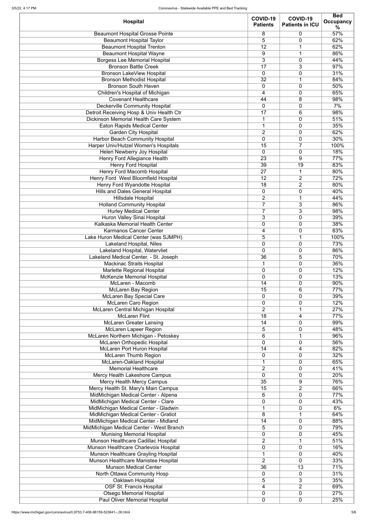| <b>Hospital</b>                          | COVID-19<br><b>Patients</b> | COVID-19<br><b>Patients in ICU</b> | <b>Bed</b><br><b>Occupancy</b><br>℅ |
|------------------------------------------|-----------------------------|------------------------------------|-------------------------------------|
| <b>Beaumont Hospital Grosse Pointe</b>   | 8                           | $\mathbf 0$                        | 57%                                 |
| <b>Beaumont Hospital Taylor</b>          | 5                           | $\overline{0}$                     | 62%                                 |
| <b>Beaumont Hospital Trenton</b>         | 12                          |                                    | 62%                                 |
| <b>Beaumont Hospital Wayne</b>           | 9                           | 1                                  | 86%                                 |
| <b>Borgess Lee Memorial Hospital</b>     | 3                           | $\mathbf 0$                        | 44%                                 |
| <b>Bronson Battle Creek</b>              | 17                          | 3                                  | 97%                                 |
| <b>Bronson LakeView Hospital</b>         | $\mathbf 0$                 | 0                                  | 31%                                 |
| <b>Bronson Methodist Hospital</b>        | 32                          | 1                                  | 84%                                 |
| <b>Bronson South Haven</b>               | $\pmb{0}$                   | $\mathbf 0$                        | 50%                                 |
| Children's Hospital of Michigan          | 4                           | $\mathbf 0$                        | 65%                                 |
| <b>Covenant Healthcare</b>               | 44                          | 8                                  | 98%                                 |
| <b>Deckerville Community Hospital</b>    | $\overline{0}$              | $\mathbf 0$                        | 7%                                  |
| Detroit Receiving Hosp & Univ Health Ctr | 17                          | 6                                  | 98%                                 |
| Dickinson Memorial Health Care System    | 1                           | 0                                  | 51%                                 |
| <b>Eaton Rapids Medical Center</b>       | $\mathbf{1}$                | $\mathbf 0$                        | 35%                                 |
| <b>Garden City Hospital</b>              | $\overline{2}$              | $\mathbf 0$                        | 62%                                 |
| <b>Harbor Beach Community Hospital</b>   | $\mathbf 0$                 | $\mathbf 0$                        | 30%                                 |
| Harper Univ/Hutzel Women's Hospitals     | 15                          | $\overline{7}$                     | 100%                                |
| Helen Newberry Joy Hospital              | $\mathbf 0$                 | $\mathbf 0$                        | 18%                                 |
| <b>Henry Ford Allegiance Health</b>      | 23                          | 9                                  | 77%                                 |
| <b>Henry Ford Hospital</b>               | 39                          | 19                                 | 83%                                 |
| <b>Henry Ford Macomb Hospital</b>        | 27                          | 1                                  | 80%                                 |
| Henry Ford West Bloomfield Hospital      | 12                          | 2                                  | 72%                                 |
| <b>Henry Ford Wyandotte Hospital</b>     | 18                          | $\overline{2}$                     | 80%                                 |
| <b>Hills and Dales General Hospital</b>  | 0                           | $\mathbf 0$                        | 40%                                 |
| <b>Hillsdale Hospital</b>                | $\overline{2}$              | 1                                  | 44%                                 |
| <b>Holland Community Hospital</b>        | $\overline{7}$              | 3                                  | 86%                                 |
| <b>Hurley Medical Center</b>             |                             | 3                                  | 98%                                 |
| <b>Huron Valley Sinai Hospital</b>       | 3                           | 0                                  | 39%                                 |
| Kalkaska Memorial Health Center          | $\mathbf 0$                 | $\mathbf 0$                        | 38%                                 |
| <b>Karmanos Cancer Center</b>            | 4                           | 0                                  | 83%                                 |
| Lake Huron Medical Center (was SJMPH)    | 5                           | 1                                  | 100%                                |
| Lakeland Hospital, Niles                 | $\mathbf 0$                 | $\mathbf 0$                        | 73%                                 |
| Lakeland Hospital, Watervliet            | $\mathbf 0$                 | $\mathbf 0$                        | 86%                                 |
| Lakeland Medical Center. - St. Joseph    | 36                          | 5                                  | 70%                                 |
| <b>Mackinac Straits Hospital</b>         | $\mathbf 1$                 | 0                                  | 36%                                 |
| Marlette Regional Hospital               | $\mathbf 0$                 | $\mathbf 0$                        | 12%                                 |
| <b>McKenzie Memorial Hospital</b>        | $\mathbf 0$                 | $\mathbf 0$                        | 13%                                 |
| McLaren - Macomb                         | 14                          | $\mathbf 0$                        | 90%                                 |
| <b>McLaren Bay Region</b>                | 15                          | 6                                  | 77%                                 |
| <b>McLaren Bay Special Care</b>          | $\mathbf 0$                 | $\mathbf 0$                        | 39%                                 |
| McLaren Caro Region                      | $\mathbf 0$                 | $\mathbf 0$                        | 12%                                 |
| McLaren Central Michigan Hospital        | $\overline{2}$              | 1                                  | 27%                                 |
| <b>McLaren Flint</b>                     | 18                          | 4                                  | 77%                                 |
| <b>McLaren Greater Lansing</b>           | 14                          | $\mathbf 0$                        | 99%                                 |
| <b>McLaren Lapeer Region</b>             | 5                           | $\mathbf 0$                        | 48%                                 |
| McLaren Northern Michigan - Petoskey     | $6\phantom{1}$              | 1                                  | 96%                                 |
| <b>McLaren Orthopedic Hospital</b>       | $\overline{0}$              | $\mathbf 0$                        | 56%                                 |
| <b>McLaren Port Huron Hospital</b>       | 14                          | 4                                  | 82%                                 |
| <b>McLaren Thumb Region</b>              | $\mathbf 0$                 | $\mathbf 0$                        | 32%                                 |
| <b>McLaren-Oakland Hospital</b>          | $\mathbf 1$                 | $\mathbf 0$                        | 65%                                 |
| <b>Memorial Healthcare</b>               | $\overline{2}$              | $\overline{0}$                     | 41%                                 |
| Mercy Health Lakeshore Campus            | $\overline{0}$              | $\mathbf 0$                        | 20%                                 |
| <b>Mercy Health Mercy Campus</b>         | 35                          | 9                                  | 76%                                 |
| Mercy Health St. Mary's Main Campus      | 15                          | $\overline{2}$                     | 66%                                 |
| MidMichigan Medical Center - Alpena      | 6                           | 0                                  | 77%                                 |
| MidMichigan Medical Center - Clare       | $\mathbf 0$                 | 0                                  | 43%                                 |
| MidMichigan Medical Center - Gladwin     |                             | 0                                  | 6%                                  |
| MidMichigan Medical Center - Gratiot     | 8                           |                                    | 64%                                 |
| MidMichigan Medical Center - Midland     | 14                          | $\mathbf 0$                        | 88%                                 |
| MidMichigan Medical Center - West Branch | 5                           | 0                                  | 79%                                 |
| <b>Munising Memorial Hospital</b>        | $\overline{0}$              | $\mathbf 0$                        | 45%                                 |
| Munson Healthcare Cadillac Hospital      | $\overline{2}$              |                                    | 51%                                 |
| Munson Healthcare Charlevoix Hospital    | $\overline{0}$              | $\mathbf 0$                        | 16%                                 |
| Munson Healthcare Grayling Hospital      |                             | 0                                  | 40%                                 |
| Munson Healthcare Manistee Hospital      | $\overline{2}$              | $\overline{0}$                     | 33%                                 |
| <b>Munson Medical Center</b>             | 36                          | 13                                 | 71%                                 |
| North Ottawa Community Hosp              | $\mathbf 0$                 | $\mathbf 0$                        | 31%                                 |
| Oaklawn Hospital                         | 5                           | 3                                  | 35%                                 |
| <b>OSF St. Francis Hospital</b>          | 4                           | $\overline{2}$                     | 69%                                 |
| <b>Otsego Memorial Hospital</b>          | $\mathbf 0$                 | $\mathbf 0$                        | 27%                                 |
| <b>Paul Oliver Memorial Hospital</b>     | $\mathbf 0$                 | 0                                  | 25%                                 |